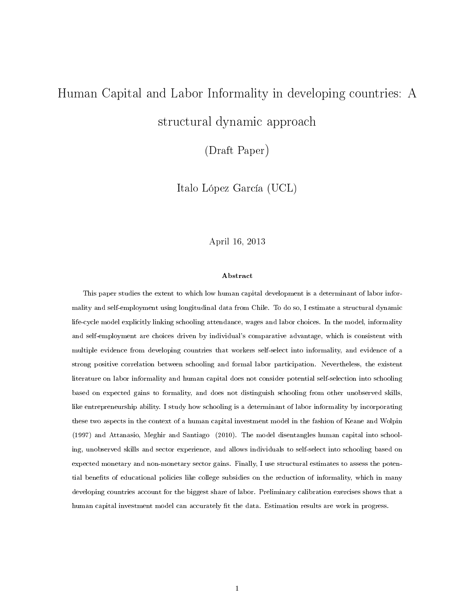# Human Capital and Labor Informality in developing countries: A structural dynamic approach

(Draft Paper)

Italo López García (UCL)

### April 16, 2013

#### Abstract

This paper studies the extent to which low human capital development is a determinant of labor informality and self-employment using longitudinal data from Chile. To do so, I estimate a structural dynamic life-cycle model explicitly linking schooling attendance, wages and labor choices. In the model, informality and self-employment are choices driven by individual's comparative advantage, which is consistent with multiple evidence from developing countries that workers self-select into informality, and evidence of a strong positive correlation between schooling and formal labor participation. Nevertheless, the existent literature on labor informality and human capital does not consider potential self-selection into schooling based on expected gains to formality, and does not distinguish schooling from other unobserved skills, like entrepreneurship ability. I study how schooling is a determinant of labor informality by incorporating these two aspects in the context of a human capital investment model in the fashion of Keane and Wolpin (1997) and Attanasio, Meghir and Santiago (2010). The model disentangles human capital into schooling, unobserved skills and sector experience, and allows individuals to self-select into schooling based on expected monetary and non-monetary sector gains. Finally, I use structural estimates to assess the potential benefits of educational policies like college subsidies on the reduction of informality, which in many developing countries account for the biggest share of labor. Preliminary calibration exercises shows that a human capital investment model can accurately fit the data. Estimation results are work in progress.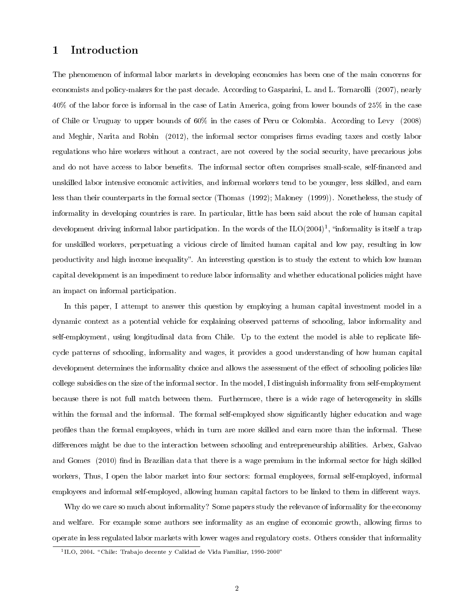# 1 Introduction

The phenomenon of informal labor markets in developing economies has been one of the main concerns for economists and policy-makers for the past decade. According to Gasparini, L. and L. Tornarolli (2007), nearly 40% of the labor force is informal in the case of Latin America, going from lower bounds of 25% in the case of Chile or Uruguay to upper bounds of 60% in the cases of Peru or Colombia. According to Levy (2008) and Meghir, Narita and Robin (2012), the informal sector comprises firms evading taxes and costly labor regulations who hire workers without a contract, are not covered by the social security, have precarious jobs and do not have access to labor benets. The informal sector often comprises small-scale, self-nanced and unskilled labor intensive economic activities, and informal workers tend to be younger, less skilled, and earn less than their counterparts in the formal sector (Thomas (1992); Maloney (1999)). Nonetheless, the study of informality in developing countries is rare. In particular, little has been said about the role of human capital development driving informal labor participation. In the words of the ILO(2004)<sup>1</sup>, "informality is itself a trap for unskilled workers, perpetuating a vicious circle of limited human capital and low pay, resulting in low productivity and high income inequality". An interesting question is to study the extent to which low human capital development is an impediment to reduce labor informality and whether educational policies might have an impact on informal participation.

In this paper, I attempt to answer this question by employing a human capital investment model in a dynamic context as a potential vehicle for explaining observed patterns of schooling, labor informality and self-employment, using longitudinal data from Chile. Up to the extent the model is able to replicate lifecycle patterns of schooling, informality and wages, it provides a good understanding of how human capital development determines the informality choice and allows the assessment of the effect of schooling policies like college subsidies on the size of the informal sector. In the model, I distinguish informality from self-employment because there is not full match between them. Furthermore, there is a wide rage of heterogeneity in skills within the formal and the informal. The formal self-employed show significantly higher education and wage profiles than the formal employees, which in turn are more skilled and earn more than the informal. These differences might be due to the interaction between schooling and entrepreneurship abilities. Arbex, Galvao and Gomes (2010) find in Brazilian data that there is a wage premium in the informal sector for high skilled workers, Thus, I open the labor market into four sectors: formal employees, formal self-employed, informal employees and informal self-employed, allowing human capital factors to be linked to them in different ways.

Why do we care so much about informality? Some papers study the relevance of informality for the economy and welfare. For example some authors see informality as an engine of economic growth, allowing firms to operate in less regulated labor markets with lower wages and regulatory costs. Others consider that informality

 $11$ ILO, 2004. "Chile: Trabajo decente y Calidad de Vida Familiar, 1990-2000"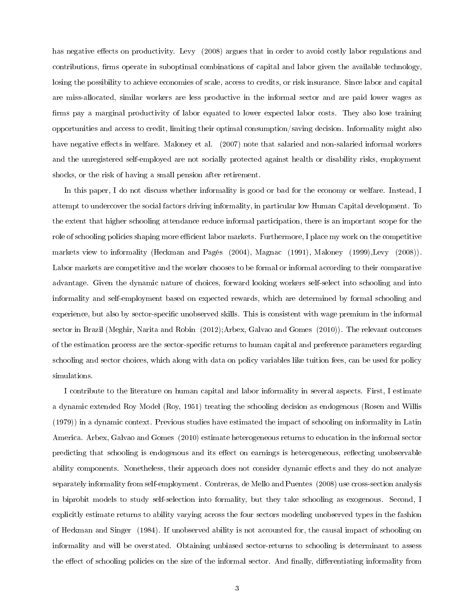has negative effects on productivity. Levy (2008) argues that in order to avoid costly labor regulations and contributions, firms operate in suboptimal combinations of capital and labor given the available technology, losing the possibility to achieve economies of scale, access to credits, or risk insurance. Since labor and capital are miss-allocated, similar workers are less productive in the informal sector and are paid lower wages as firms pay a marginal productivity of labor equated to lower expected labor costs. They also lose training opportunities and access to credit, limiting their optimal consumption/saving decision. Informality might also have negative effects in welfare. Maloney et al. (2007) note that salaried and non-salaried informal workers and the unregistered self-employed are not socially protected against health or disability risks, employment shocks, or the risk of having a small pension after retirement.

In this paper, I do not discuss whether informality is good or bad for the economy or welfare. Instead, I attempt to undercover the social factors driving informality, in particular low Human Capital development. To the extent that higher schooling attendance reduce informal participation, there is an important scope for the role of schooling policies shaping more efficient labor markets. Furthermore, I place my work on the competitive markets view to informality (Heckman and Pagés (2004), Magnac (1991), Maloney (1999),Levy (2008)). Labor markets are competitive and the worker chooses to be formal or informal according to their comparative advantage. Given the dynamic nature of choices, forward looking workers self-select into schooling and into informality and self-employment based on expected rewards, which are determined by formal schooling and experience, but also by sector-specific unobserved skills. This is consistent with wage premium in the informal sector in Brazil (Meghir, Narita and Robin (2012);Arbex, Galvao and Gomes (2010)). The relevant outcomes of the estimation process are the sector-specific returns to human capital and preference parameters regarding schooling and sector choices, which along with data on policy variables like tuition fees, can be used for policy simulations.

I contribute to the literature on human capital and labor informality in several aspects. First, I estimate a dynamic extended Roy Model (Roy, 1951) treating the schooling decision as endogenous (Rosen and Willis (1979)) in a dynamic context. Previous studies have estimated the impact of schooling on informality in Latin America. Arbex, Galvao and Gomes (2010) estimate heterogeneous returns to education in the informal sector predicting that schooling is endogenous and its effect on earnings is heterogeneous, reflecting unobservable ability components. Nonetheless, their approach does not consider dynamic effects and they do not analyze separately informality from self-employment. Contreras, de Mello and Puentes (2008) use cross-section analysis in biprobit models to study self-selection into formality, but they take schooling as exogenous. Second, I explicitly estimate returns to ability varying across the four sectors modeling unobserved types in the fashion of Heckman and Singer (1984). If unobserved ability is not accounted for, the causal impact of schooling on informality and will be overstated. Obtaining unbiased sector-returns to schooling is determinant to assess the effect of schooling policies on the size of the informal sector. And finally, differentiating informality from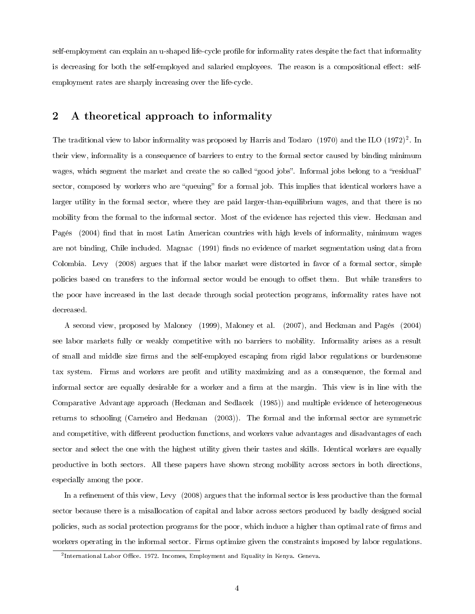self-employment can explain an u-shaped life-cycle profile for informality rates despite the fact that informality is decreasing for both the self-employed and salaried employees. The reason is a compositional effect: selfemployment rates are sharply increasing over the life-cycle.

# 2 A theoretical approach to informality

The traditional view to labor informality was proposed by Harris and Todaro (1970) and the ILO (1972)<sup>2</sup>. In their view, informality is a consequence of barriers to entry to the formal sector caused by binding minimum wages, which segment the market and create the so called "good jobs". Informal jobs belong to a "residual" sector, composed by workers who are "queuing" for a formal job. This implies that identical workers have a larger utility in the formal sector, where they are paid larger-than-equilibrium wages, and that there is no mobility from the formal to the informal sector. Most of the evidence has rejected this view. Heckman and Pagés (2004) find that in most Latin American countries with high levels of informality, minimum wages are not binding, Chile included. Magnac (1991) finds no evidence of market segmentation using data from Colombia. Levy (2008) argues that if the labor market were distorted in favor of a formal sector, simple policies based on transfers to the informal sector would be enough to offset them. But while transfers to the poor have increased in the last decade through social protection programs, informality rates have not decreased.

A second view, proposed by Maloney (1999), Maloney et al. (2007), and Heckman and Pagés (2004) see labor markets fully or weakly competitive with no barriers to mobility. Informality arises as a result of small and middle size firms and the self-employed escaping from rigid labor regulations or burdensome tax system. Firms and workers are profit and utility maximizing and as a consequence, the formal and informal sector are equally desirable for a worker and a firm at the margin. This view is in line with the Comparative Advantage approach (Heckman and Sedlacek (1985)) and multiple evidence of heterogeneous returns to schooling (Carneiro and Heckman (2003)). The formal and the informal sector are symmetric and competitive, with different production functions, and workers value advantages and disadvantages of each sector and select the one with the highest utility given their tastes and skills. Identical workers are equally productive in both sectors. All these papers have shown strong mobility across sectors in both directions, especially among the poor.

In a refinement of this view, Levy (2008) argues that the informal sector is less productive than the formal sector because there is a misallocation of capital and labor across sectors produced by badly designed social policies, such as social protection programs for the poor, which induce a higher than optimal rate of firms and workers operating in the informal sector. Firms optimize given the constraints imposed by labor regulations.

 $^{2}$ International Labor Office. 1972. Incomes, Employment and Equality in Kenya. Geneva.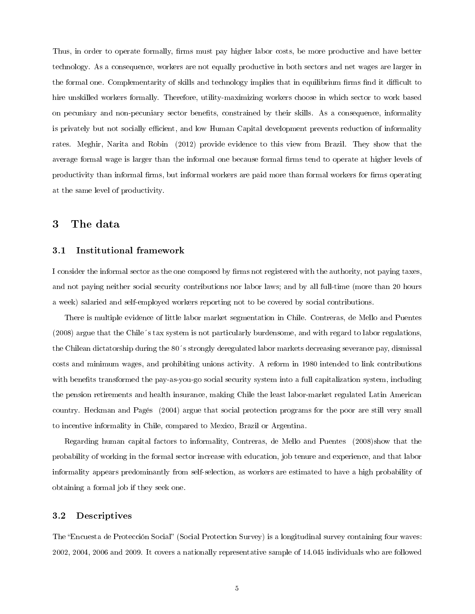Thus, in order to operate formally, firms must pay higher labor costs, be more productive and have better technology. As a consequence, workers are not equally productive in both sectors and net wages are larger in the formal one. Complementarity of skills and technology implies that in equilibrium firms find it difficult to hire unskilled workers formally. Therefore, utility-maximizing workers choose in which sector to work based on pecuniary and non-pecuniary sector benets, constrained by their skills. As a consequence, informality is privately but not socially efficient, and low Human Capital development prevents reduction of informality rates. Meghir, Narita and Robin (2012) provide evidence to this view from Brazil. They show that the average formal wage is larger than the informal one because formal firms tend to operate at higher levels of productivity than informal firms, but informal workers are paid more than formal workers for firms operating at the same level of productivity.

## 3 The data

#### 3.1 Institutional framework

I consider the informal sector as the one composed by firms not registered with the authority, not paying taxes, and not paying neither social security contributions nor labor laws; and by all full-time (more than 20 hours a week) salaried and self-employed workers reporting not to be covered by social contributions.

There is multiple evidence of little labor market segmentation in Chile. Contreras, de Mello and Puentes (2008) argue that the Chile´s tax system is not particularly burdensome, and with regard to labor regulations, the Chilean dictatorship during the 80´s strongly deregulated labor markets decreasing severance pay, dismissal costs and minimum wages, and prohibiting unions activity. A reform in 1980 intended to link contributions with benefits transformed the pay-as-you-go social security system into a full capitalization system, including the pension retirements and health insurance, making Chile the least labor-market regulated Latin American country. Heckman and Pagés (2004) argue that social protection programs for the poor are still very small to incentive informality in Chile, compared to Mexico, Brazil or Argentina.

Regarding human capital factors to informality, Contreras, de Mello and Puentes (2008)show that the probability of working in the formal sector increase with education, job tenure and experience, and that labor informality appears predominantly from self-selection, as workers are estimated to have a high probability of obtaining a formal job if they seek one.

## 3.2 Descriptives

The "Encuesta de Protección Social" (Social Protection Survey) is a longitudinal survey containing four waves: 2002, 2004, 2006 and 2009. It covers a nationally representative sample of 14.045 individuals who are followed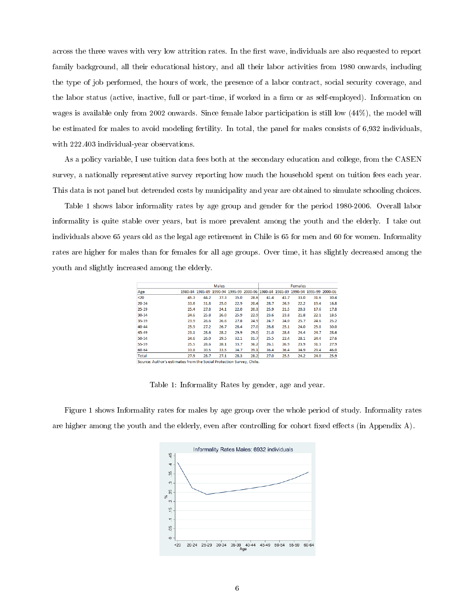across the three waves with very low attrition rates. In the first wave, individuals are also requested to report family background, all their educational history, and all their labor activities from 1980 onwards, including the type of job performed, the hours of work, the presence of a labor contract, social security coverage, and the labor status (active, inactive, full or part-time, if worked in a firm or as self-employed). Information on wages is available only from 2002 onwards. Since female labor participation is still low (44%), the model will be estimated for males to avoid modeling fertility. In total, the panel for males consists of 6,932 individuals, with 222.403 individual-year observations.

As a policy variable, I use tuition data fees both at the secondary education and college, from the CASEN survey, a nationally representative survey reporting how much the household spent on tuition fees each year. This data is not panel but detrended costs by municipality and year are obtained to simulate schooling choices.

Table 1 shows labor informality rates by age group and gender for the period 1980-2006. Overall labor informality is quite stable over years, but is more prevalent among the youth and the elderly. I take out individuals above 65 years old as the legal age retirement in Chile is 65 for men and 60 for women. Informality rates are higher for males than for females for all age groups. Over time, it has slightly decreased among the youth and slightly increased among the elderly.

|                                                                      | <b>Males</b> |      |      |      | <b>Females</b>                                                                  |      |      |      |      |      |
|----------------------------------------------------------------------|--------------|------|------|------|---------------------------------------------------------------------------------|------|------|------|------|------|
|                                                                      |              |      |      |      |                                                                                 |      |      |      |      |      |
| Age                                                                  |              |      |      |      | 1980-84 1985-89 1990-94 1995-99 2000-06 1980-84 1985-89 1990-94 1995-99 2000-06 |      |      |      |      |      |
| $20$                                                                 | 45.3         | 44.2 | 37.3 | 35.0 | 28.6                                                                            | 41.4 | 41.7 | 33.0 | 31.6 | 30.4 |
| $20 - 24$                                                            | 33.6         | 31.8 | 25.0 | 22.9 | 20.4                                                                            | 28.7 | 26.9 | 22.2 | 19.4 | 16.8 |
| $25-29$                                                              | 25.4         | 27.8 | 24.1 | 22.0 | 20.3                                                                            | 25.9 | 21.5 | 20.3 | 17.6 | 17.8 |
| 30-34                                                                | 24.6         | 25.8 | 26.0 | 25.9 | 22.9                                                                            | 23.6 | 23.8 | 21.8 | 22.1 | 18.5 |
| 35-39                                                                | 23.9         | 26.6 | 26.6 | 27.8 | 24.9                                                                            | 24.7 | 24.0 | 25.7 | 24.6 | 25.2 |
| 40-44                                                                | 25.9         | 27.2 | 26.7 | 28.4 | 27.0                                                                            | 28.8 | 25.1 | 24.0 | 25.8 | 30.0 |
| 45-49                                                                | 23.1         | 28.6 | 28.2 | 29.9 | 29.0                                                                            | 21.0 | 28.6 | 24.4 | 24.7 | 28.6 |
| 50-54                                                                | 24.6         | 26.0 | 29.5 | 32.1 | 31.7                                                                            | 25.5 | 22.4 | 28.1 | 24.4 | 27.6 |
| 55-59                                                                | 25.5         | 28.6 | 28.1 | 33.7 | 36.2                                                                            | 26.1 | 26.9 | 23.9 | 31.3 | 27.9 |
| 60-64                                                                | 33.8         | 30.5 | 33.5 | 34.7 | 39.1                                                                            | 36.4 | 36.4 | 34.9 | 29.4 | 46.0 |
| Total                                                                | 27.9         | 28.7 | 27.1 | 28.3 | 28.2                                                                            | 27.0 | 25.5 | 24.2 | 24.0 | 25.9 |
| Courses Authoriz activator from the Cosial Drotostian Cunsus, Chile. |              |      |      |      |                                                                                 |      |      |      |      |      |

Author's estimates from the Social Protection Survey, Chile

Table 1: Informality Rates by gender, age and year.

Figure 1 shows Informality rates for males by age group over the whole period of study. Informality rates are higher among the youth and the elderly, even after controlling for cohort fixed effects (in Appendix A).

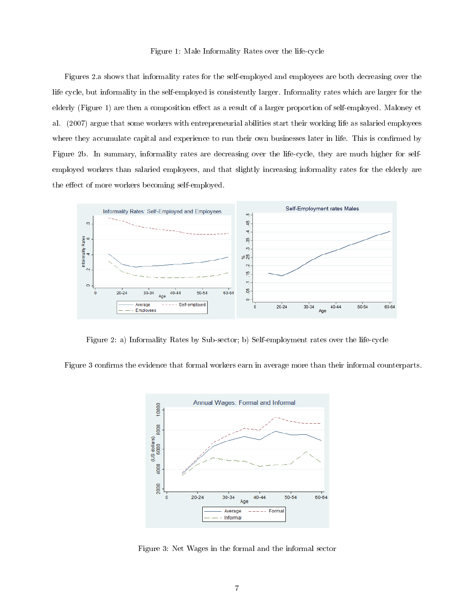#### Figure 1: Male Informality Rates over the life-cycle

Figures 2.a shows that informality rates for the self-employed and employees are both decreasing over the life cycle, but informality in the self-employed is consistently larger. Informality rates which are larger for the elderly (Figure 1) are then a composition effect as a result of a larger proportion of self-employed. Maloney et al. (2007) argue that some workers with entrepreneurial abilities start their working life as salaried employees where they accumulate capital and experience to run their own businesses later in life. This is confirmed by Figure 2b. In summary, informality rates are decreasing over the life-cycle, they are much higher for selfemployed workers than salaried employees, and that slightly increasing informality rates for the elderly are the effect of more workers becoming self-employed.



Figure 2: a) Informality Rates by Sub-sector; b) Self-employment rates over the life-cycle

Figure 3 confirms the evidence that formal workers earn in average more than their informal counterparts.



Figure 3: Net Wages in the formal and the informal sector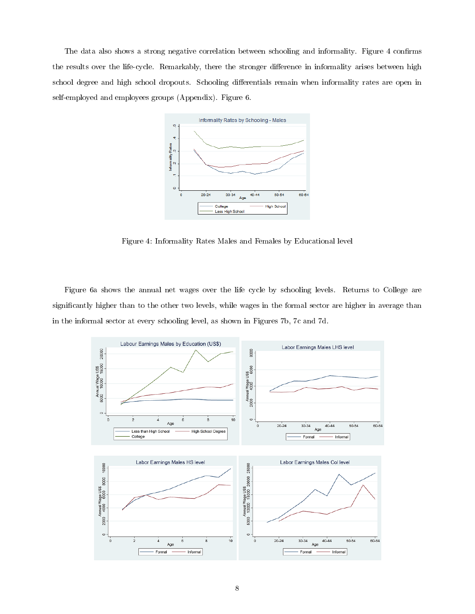The data also shows a strong negative correlation between schooling and informality. Figure 4 confirms the results over the life-cycle. Remarkably, there the stronger difference in informality arises between high school degree and high school dropouts. Schooling differentials remain when informality rates are open in self-employed and employees groups (Appendix). Figure 6.



Figure 4: Informality Rates Males and Females by Educational level

Figure 6a shows the annual net wages over the life cycle by schooling levels. Returns to College are significantly higher than to the other two levels, while wages in the formal sector are higher in average than in the informal sector at every schooling level, as shown in Figures 7b, 7c and 7d.

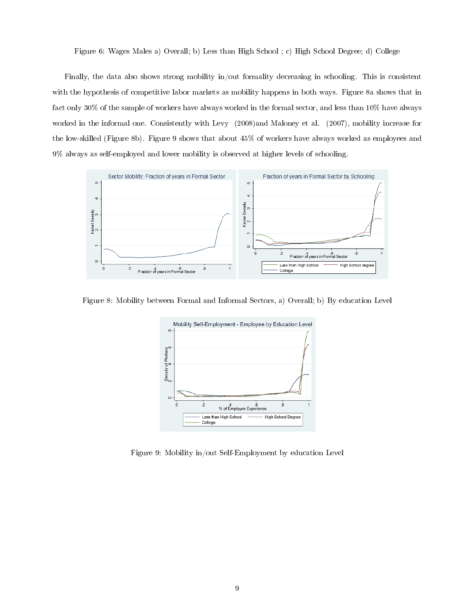#### Figure 6: Wages Males a) Overall; b) Less than High School ; c) High School Degree; d) College

Finally, the data also shows strong mobility in/out formality decreasing in schooling. This is consistent with the hypothesis of competitive labor markets as mobility happens in both ways. Figure 8a shows that in fact only 30% of the sample of workers have always worked in the formal sector, and less than 10% have always worked in the informal one. Consistently with Levy (2008)and Maloney et al. (2007), mobility increase for the low-skilled (Figure 8b). Figure 9 shows that about 45% of workers have always worked as employees and 9% always as self-employed and lower mobility is observed at higher levels of schooling.



Figure 8: Mobility between Formal and Informal Sectors, a) Overall; b) By education Level



Figure 9: Mobility in/out Self-Employment by education Level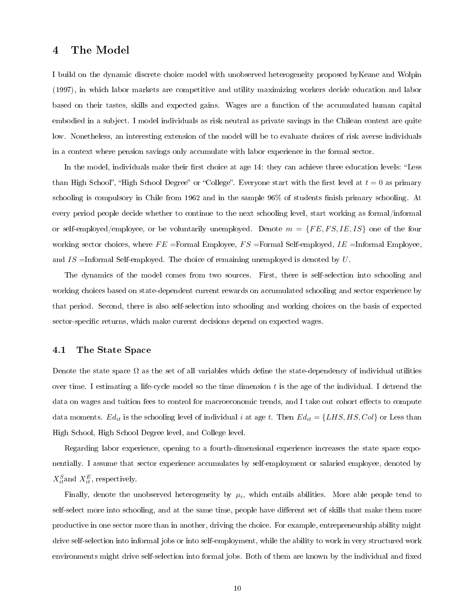# 4 The Model

I build on the dynamic discrete choice model with unobserved heterogeneity proposed byKeane and Wolpin (1997), in which labor markets are competitive and utility maximizing workers decide education and labor based on their tastes, skills and expected gains. Wages are a function of the accumulated human capital embodied in a subject. I model individuals as risk neutral as private savings in the Chilean context are quite low. Nonetheless, an interesting extension of the model will be to evaluate choices of risk averse individuals in a context where pension savings only accumulate with labor experience in the formal sector.

In the model, individuals make their first choice at age 14: they can achieve three education levels: "Less" than High School", "High School Degree" or "College". Everyone start with the first level at  $t = 0$  as primary schooling is compulsory in Chile from  $1962$  and in the sample  $96\%$  of students finish primary schooling. At every period people decide whether to continue to the next schooling level, start working as formal/informal or self-employed/employee, or be voluntarily unemployed. Denote  $m = \{FE, FS, IE, IS\}$  one of the four working sector choices, where  $FE =$  Formal Employee,  $FS =$  Formal Self-employed,  $IE =$ Informal Employee, and  $IS =$ Informal Self-employed. The choice of remaining unemployed is denoted by  $U$ .

The dynamics of the model comes from two sources. First, there is self-selection into schooling and working choices based on state-dependent current rewards on accumulated schooling and sector experience by that period. Second, there is also self-selection into schooling and working choices on the basis of expected sector-specific returns, which make current decisions depend on expected wages.

#### 4.1 The State Space

Denote the state space  $\Omega$  as the set of all variables which define the state-dependency of individual utilities over time. I estimating a life-cycle model so the time dimension  $t$  is the age of the individual. I detrend the data on wages and tuition fees to control for macroeconomic trends, and I take out cohort effects to compute data moments.  $Ed_{it}$  is the schooling level of individual i at age t. Then  $Ed_{it} = \{LHS, HS, Col\}$  or Less than High School, High School Degree level, and College level.

Regarding labor experience, opening to a fourth-dimensional experience increases the state space exponentially. I assume that sector experience accumulates by self-employment or salaried employee, denoted by  $X_{it}^{S}$  and  $X_{it}^{E}$ , respectively.

Finally, denote the unobserved heterogeneity by  $\mu_i$ , which entails abilities. More able people tend to self-select more into schooling, and at the same time, people have different set of skills that make them more productive in one sector more than in another, driving the choice. For example, entrepreneurship ability might drive self-selection into informal jobs or into self-employment, while the ability to work in very structured work environments might drive self-selection into formal jobs. Both of them are known by the individual and fixed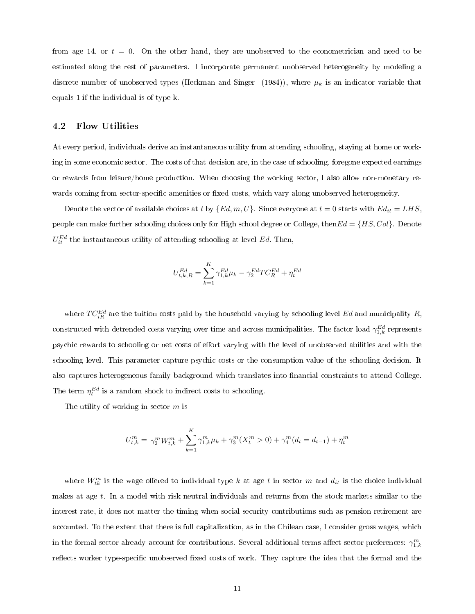from age 14, or  $t = 0$ . On the other hand, they are unobserved to the econometrician and need to be estimated along the rest of parameters. I incorporate permanent unobserved heterogeneity by modeling a discrete number of unobserved types (Heckman and Singer (1984)), where  $\mu_k$  is an indicator variable that equals 1 if the individual is of type k.

## 4.2 Flow Utilities

At every period, individuals derive an instantaneous utility from attending schooling, staying at home or working in some economic sector. The costs of that decision are, in the case of schooling, foregone expected earnings or rewards from leisure/home production. When choosing the working sector, I also allow non-monetary rewards coming from sector-specific amenities or fixed costs, which vary along unobserved heterogeneity.

Denote the vector of available choices at t by  $\{Ed, m, U\}$ . Since everyone at  $t = 0$  starts with  $Ed_{it} = LHS$ , people can make further schooling choices only for High school degree or College, then $Ed = \{HS, Col\}$ . Denote  $U_{it}^{Ed}$  the instantaneous utility of attending schooling at level Ed. Then,

$$
U_{t,k,R}^{Ed}=\sum_{k=1}^K\gamma_{1,k}^{Ed}\mu_k-\gamma_2^{Ed}TC_R^{Ed}+\eta_t^{Ed}
$$

where  $TC_{iR}^{Ed}$  are the tuition costs paid by the household varying by schooling level  $Ed$  and municipality  $R$ , constructed with detrended costs varying over time and across municipalities. The factor load  $\gamma^{Ed}_{1,k}$  represents psychic rewards to schooling or net costs of effort varying with the level of unobserved abilities and with the schooling level. This parameter capture psychic costs or the consumption value of the schooling decision. It also captures heterogeneous family background which translates into financial constraints to attend College. The term  $\eta_t^{Ed}$  is a random shock to indirect costs to schooling.

The utility of working in sector  $m$  is

$$
U_{t,k}^m = \gamma_2^m W_{t,k}^m + \sum_{k=1}^K \gamma_{1,k}^m \mu_k + \gamma_3^m (X_t^m > 0) + \gamma_4^m (d_t = d_{t-1}) + \eta_t^m
$$

where  $W_{tk}^{m}$  is the wage offered to individual type k at age t in sector m and  $d_{it}$  is the choice individual makes at age  $t$ . In a model with risk neutral individuals and returns from the stock markets similar to the interest rate, it does not matter the timing when social security contributions such as pension retirement are accounted. To the extent that there is full capitalization, as in the Chilean case, I consider gross wages, which in the formal sector already account for contributions. Several additional terms affect sector preferences:  $\gamma_{1,k}^m$ reflects worker type-specific unobserved fixed costs of work. They capture the idea that the formal and the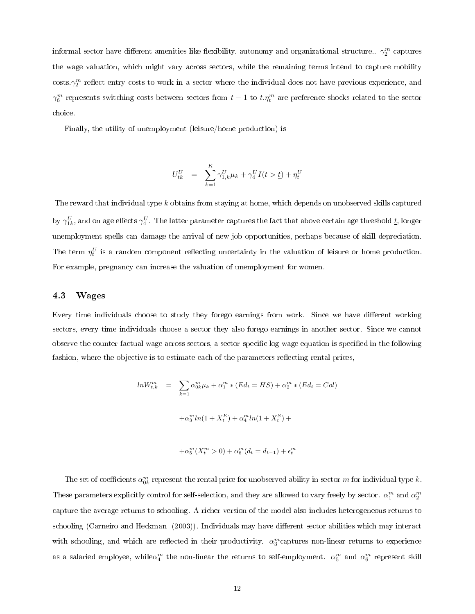informal sector have different amenities like flexibility, autonomy and organizational structure..  $\gamma^m_2$  captures the wage valuation, which might vary across sectors, while the remaining terms intend to capture mobility  $\cos$ ts. $\gamma_2^m$  reflect entry costs to work in a sector where the individual does not have previous experience, and  $\gamma_6^m$  represents switching costs between sectors from  $t-1$  to  $t.\eta_t^m$  are preference shocks related to the sector choice.

Finally, the utility of unemployment (leisure/home production) is

$$
U_{tk}^U \ = \ \sum_{k=1}^K \gamma_{1,k}^U \mu_k + \gamma_4^U I(t > \underline{t}) + \eta_t^U
$$

The reward that individual type k obtains from staying at home, which depends on unobserved skills captured by  $\gamma_{1k}^U,$  and on age effects  $\gamma_4^U$ . The latter parameter captures the fact that above certain age threshold  $\underline{t},$  longer unemployment spells can damage the arrival of new job opportunities, perhaps because of skill depreciation. The term  $\eta_t^U$  is a random component reflecting uncertainty in the valuation of leisure or home production. For example, pregnancy can increase the valuation of unemployment for women.

#### 4.3 Wages

Every time individuals choose to study they forego earnings from work. Since we have different working sectors, every time individuals choose a sector they also forego earnings in another sector. Since we cannot observe the counter-factual wage across sectors, a sector-specific log-wage equation is specified in the following fashion, where the objective is to estimate each of the parameters reflecting rental prices,

$$
ln W_{t,k}^{m} = \sum_{k=1}^{\infty} \alpha_{0k}^{m} \mu_k + \alpha_1^{m} * (Ed_t = HS) + \alpha_2^{m} * (Ed_t = Col)
$$

$$
+ \alpha_3^{m} ln(1 + X_t^{E}) + \alpha_4^{m} ln(1 + X_t^{S}) +
$$

$$
+\alpha_5^m(X_t^m > 0) + \alpha_6^m(d_t = d_{t-1}) + \epsilon_t^m
$$

The set of coefficients  $\alpha_{0k}^m$  represent the rental price for unobserved ability in sector  $m$  for individual type  $k.$ These parameters explicitly control for self-selection, and they are allowed to vary freely by sector.  $\alpha_1^m$  and  $\alpha_2^m$ capture the average returns to schooling. A richer version of the model also includes heterogeneous returns to schooling (Carneiro and Heckman (2003)). Individuals may have different sector abilities which may interact with schooling, and which are reflected in their productivity.  $\alpha_3^m$ captures non-linear returns to experience as a salaried employee, while $\alpha_4^m$  the non-linear the returns to self-employment.  $\alpha_5^m$  and  $\alpha_6^m$  represent skill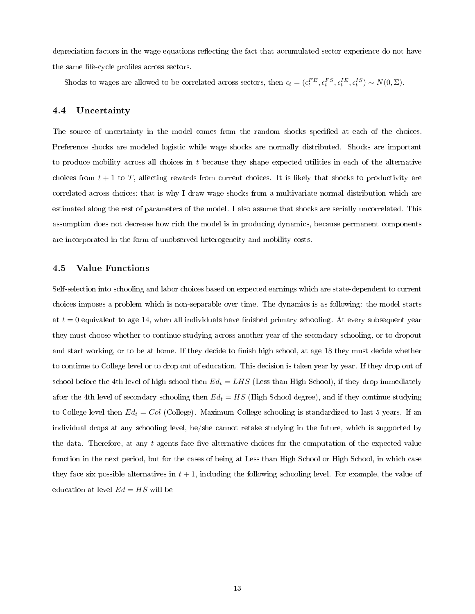depreciation factors in the wage equations reflecting the fact that accumulated sector experience do not have the same life-cycle profiles across sectors.

Shocks to wages are allowed to be correlated across sectors, then  $\epsilon_t = (\epsilon_t^{FE}, \epsilon_t^{FS}, \epsilon_t^{IE}, \epsilon_t^{IS}) \sim N(0, \Sigma)$ .

## 4.4 Uncertainty

The source of uncertainty in the model comes from the random shocks specified at each of the choices. Preference shocks are modeled logistic while wage shocks are normally distributed. Shocks are important to produce mobility across all choices in  $t$  because they shape expected utilities in each of the alternative choices from  $t + 1$  to T, affecting rewards from current choices. It is likely that shocks to productivity are correlated across choices; that is why I draw wage shocks from a multivariate normal distribution which are estimated along the rest of parameters of the model. I also assume that shocks are serially uncorrelated. This assumption does not decrease how rich the model is in producing dynamics, because permanent components are incorporated in the form of unobserved heterogeneity and mobility costs.

### 4.5 Value Functions

Self-selection into schooling and labor choices based on expected earnings which are state-dependent to current choices imposes a problem which is non-separable over time. The dynamics is as following: the model starts at  $t = 0$  equivalent to age 14, when all individuals have finished primary schooling. At every subsequent year they must choose whether to continue studying across another year of the secondary schooling, or to dropout and start working, or to be at home. If they decide to finish high school, at age 18 they must decide whether to continue to College level or to drop out of education. This decision is taken year by year. If they drop out of school before the 4th level of high school then  $Ed_t = LHS$  (Less than High School), if they drop immediately after the 4th level of secondary schooling then  $Ed_t = HS$  (High School degree), and if they continue studying to College level then  $Ed_t = Col$  (College). Maximum College schooling is standardized to last 5 years. If an individual drops at any schooling level, he/she cannot retake studying in the future, which is supported by the data. Therefore, at any  $t$  agents face five alternative choices for the computation of the expected value function in the next period, but for the cases of being at Less than High School or High School, in which case they face six possible alternatives in  $t + 1$ , including the following schooling level. For example, the value of education at level  $Ed = HS$  will be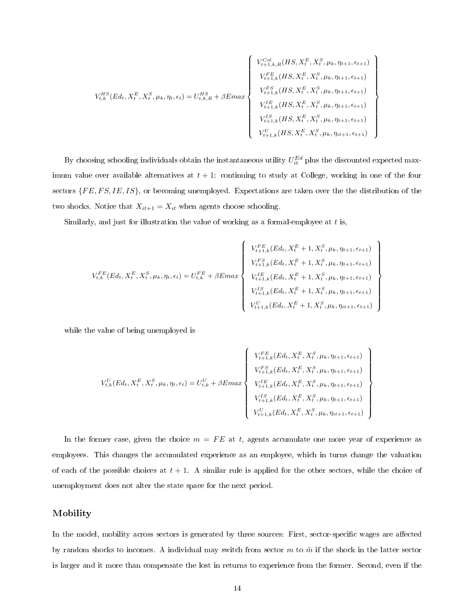$$
V_{t,k}^{HS}(Ed_{t}, X_{t}^{E}, X_{t}^{S}, \mu_{k}, \eta_{t}, \epsilon_{t}) = U_{t,k,R}^{HS} + \beta E max \left\{\begin{array}{c} V_{t+1,k,R}^{Col}(HS, X_{t}^{E}, X_{t}^{S}, \mu_{k}, \eta_{t+1}, \epsilon_{t+1})\\ V_{t+1,k}^{FE}(HS, X_{t}^{E}, X_{t}^{S}, \mu_{k}, \eta_{t+1}, \epsilon_{t+1})\\ V_{t+1,k}^{FS}(HS, X_{t}^{E}, X_{t}^{S}, \mu_{k}, \eta_{t+1}, \epsilon_{t+1})\\ V_{t+1,k}^{IS}(HS, X_{t}^{E}, X_{t}^{S}, \mu_{k}, \eta_{t+1}, \epsilon_{t+1})\\ V_{t+1,k}^{IS}(HS, X_{t}^{E}, X_{t}^{S}, \mu_{k}, \eta_{t+1}, \epsilon_{t+1})\\ V_{t+1,k}^{U}(HS, X_{t}^{E}, X_{t}^{S}, \mu_{k}, \eta_{t+1}, \epsilon_{t+1})\\ V_{t+1,k}^{U}(HS, X_{t}^{E}, X_{t}^{S}, \mu_{k}, \eta_{t+1}, \epsilon_{t+1}) \end{array}\right\}
$$

By choosing schooling individuals obtain the instantaneous utility  $U_{it}^{Ed}$  plus the discounted expected maximum value over available alternatives at  $t + 1$ : continuing to study at College, working in one of the four sectors  $\{FE, FS, IE, IS\}$ , or becoming unemployed. Expectations are taken over the the distribution of the two shocks. Notice that  $X_{it+1} = X_{it}$  when agents choose schooling.

Similarly, and just for illustration the value of working as a formal-employee at  $t$  is,

$$
V_{t,k}^{FE}(Ed_{t}, X_{t}^{E}, X_{t}^{S}, \mu_{k}, \eta_{t}, \epsilon_{t}) = U_{t,k}^{FE} + \beta E max \left\{ \begin{array}{l} V_{t+1,k}^{FE}(Ed_{t}, X_{t}^{E} + 1, X_{t}^{S}, \mu_{k}, \eta_{t+1}, \epsilon_{t+1}) \\ V_{t+1,k}^{FS}(Ed_{t}, X_{t}^{E} + 1, X_{t}^{S}, \mu_{k}, \eta_{t+1}, \epsilon_{t+1}) \\ V_{t+1,k}^{IE}(Ed_{t}, X_{t}^{E} + 1, X_{t}^{S}, \mu_{k}, \eta_{t+1}, \epsilon_{t+1}) \\ V_{t+1,k}^{IS}(Ed_{t}, X_{t}^{E} + 1, X_{t}^{S}, \mu_{k}, \eta_{t+1}, \epsilon_{t+1}) \\ V_{t+1,k}^{U}(Ed_{t}, X_{t}^{E} + 1, X_{t}^{S}, \mu_{k}, \eta_{t+1}, \epsilon_{t+1}) \end{array} \right\}
$$

while the value of being unemployed is

$$
V_{t,k}^{U}(Ed_{t}, X_{t}^{E}, X_{t}^{S}, \mu_{k}, \eta_{t}, \epsilon_{t}) = U_{t,k}^{U} + \beta E max \left\{\begin{array}{c} V_{t+1,k}^{FE}(Ed_{t}, X_{t}^{E}, X_{t}^{S}, \mu_{k}, \eta_{t+1}, \epsilon_{t+1})\\ V_{t+1,k}^{FS}(Ed_{t}, X_{t}^{E}, X_{t}^{S}, \mu_{k}, \eta_{t+1}, \epsilon_{t+1})\\ V_{t+1,k}^{IE}(Ed_{t}, X_{t}^{E}, X_{t}^{S}, \mu_{k}, \eta_{t+1}, \epsilon_{t+1})\\ V_{t+1,k}^{IS}(Ed_{t}, X_{t}^{E}, X_{t}^{S}, \mu_{k}, \eta_{t+1}, \epsilon_{t+1})\\ V_{t+1,k}^{U}(Ed_{t}, X_{t}^{E}, X_{t}^{S}, \mu_{k}, \eta_{t+1}, \epsilon_{t+1}) \end{array}\right\}
$$

 $\overline{\phantom{a}}$ 

In the former case, given the choice  $m = FE$  at t, agents accumulate one more year of experience as employees. This changes the accumulated experience as an employee, which in turns change the valuation of each of the possible choices at  $t + 1$ . A similar rule is applied for the other sectors, while the choice of unemployment does not alter the state space for the next period.

### Mobility

In the model, mobility across sectors is generated by three sources: First, sector-specific wages are affected by random shocks to incomes. A individual may switch from sector  $m$  to  $\tilde{m}$  if the shock in the latter sector is larger and it more than compensate the lost in returns to experience from the former. Second, even if the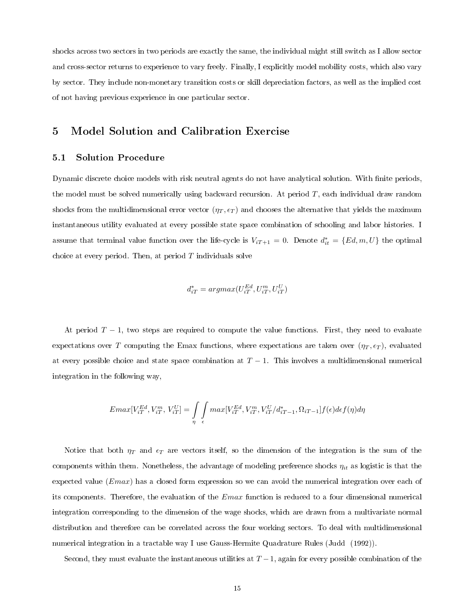shocks across two sectors in two periods are exactly the same, the individual might still switch as I allow sector and cross-sector returns to experience to vary freely. Finally, I explicitly model mobility costs, which also vary by sector. They include non-monetary transition costs or skill depreciation factors, as well as the implied cost of not having previous experience in one particular sector.

# 5 Model Solution and Calibration Exercise

## 5.1 Solution Procedure

Dynamic discrete choice models with risk neutral agents do not have analytical solution. With finite periods, the model must be solved numerically using backward recursion. At period T, each individual draw random shocks from the multidimensional error vector  $(\eta_T, \epsilon_T)$  and chooses the alternative that yields the maximum instantaneous utility evaluated at every possible state space combination of schooling and labor histories. I assume that terminal value function over the life-cycle is  $V_{iT+1} = 0$ . Denote  $d_{it}^* = \{Ed, m, U\}$  the optimal choice at every period. Then, at period  $T$  individuals solve

$$
d_{iT}^* = argmax(U_{iT}^{Ed}, U_{iT}^m, U_{iT}^U)
$$

At period  $T-1$ , two steps are required to compute the value functions. First, they need to evaluate expectations over T computing the Emax functions, where expectations are taken over  $(\eta_T, \epsilon_T)$ , evaluated at every possible choice and state space combination at  $T-1$ . This involves a multidimensional numerical integration in the following way,

$$
Emax[V_{iT}^{Ed}, V_{iT}^m, V_{iT}^U] = \int\limits_{\eta} \int\limits_{\epsilon} max[V_{iT}^{Ed}, V_{iT}^m, V_{iT}^U/d_{iT-1}^*, \Omega_{iT-1}] f(\epsilon) d\epsilon f(\eta) d\eta
$$

Notice that both  $\eta_T$  and  $\epsilon_T$  are vectors itself, so the dimension of the integration is the sum of the components within them. Nonetheless, the advantage of modeling preference shocks  $\eta_{it}$  as logistic is that the expected value  $(Emax)$  has a closed form expression so we can avoid the numerical integration over each of its components. Therefore, the evaluation of the  $Emax$  function is reduced to a four dimensional numerical integration corresponding to the dimension of the wage shocks, which are drawn from a multivariate normal distribution and therefore can be correlated across the four working sectors. To deal with multidimensional numerical integration in a tractable way I use Gauss-Hermite Quadrature Rules (Judd (1992)).

Second, they must evaluate the instantaneous utilities at  $T-1$ , again for every possible combination of the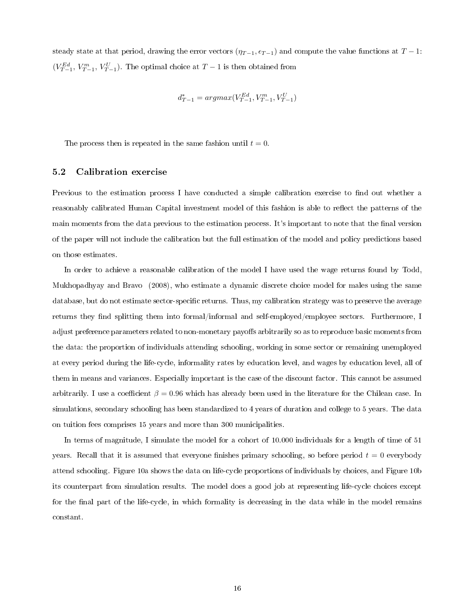steady state at that period, drawing the error vectors  $(\eta_{T-1}, \epsilon_{T-1})$  and compute the value functions at  $T-1$ :  $(V_{T-1}^{Ed}, V_{T-1}^{m}, V_{T-1}^{U})$ . The optimal choice at  $T-1$  is then obtained from

$$
d_{T-1}^* = argmax(V_{T-1}^{Ed}, V_{T-1}^m, V_{T-1}^U)
$$

The process then is repeated in the same fashion until  $t = 0$ .

#### 5.2 Calibration exercise

Previous to the estimation process I have conducted a simple calibration exercise to find out whether a reasonably calibrated Human Capital investment model of this fashion is able to reflect the patterns of the main moments from the data previous to the estimation process. It's important to note that the final version of the paper will not include the calibration but the full estimation of the model and policy predictions based on those estimates.

In order to achieve a reasonable calibration of the model I have used the wage returns found by Todd, Mukhopadhyay and Bravo (2008), who estimate a dynamic discrete choice model for males using the same database, but do not estimate sector-specific returns. Thus, my calibration strategy was to preserve the average returns they find splitting them into formal/informal and self-employed/employee sectors. Furthermore, I adjust preference parameters related to non-monetary payoffs arbitrarily so as to reproduce basic moments from the data: the proportion of individuals attending schooling, working in some sector or remaining unemployed at every period during the life-cycle, informality rates by education level, and wages by education level, all of them in means and variances. Especially important is the case of the discount factor. This cannot be assumed arbitrarily. I use a coefficient  $\beta = 0.96$  which has already been used in the literature for the Chilean case. In simulations, secondary schooling has been standardized to 4 years of duration and college to 5 years. The data on tuition fees comprises 15 years and more than 300 municipalities.

In terms of magnitude, I simulate the model for a cohort of 10.000 individuals for a length of time of 51 years. Recall that it is assumed that everyone finishes primary schooling, so before period  $t = 0$  everybody attend schooling. Figure 10a shows the data on life-cycle proportions of individuals by choices, and Figure 10b its counterpart from simulation results. The model does a good job at representing life-cycle choices except for the final part of the life-cycle, in which formality is decreasing in the data while in the model remains constant.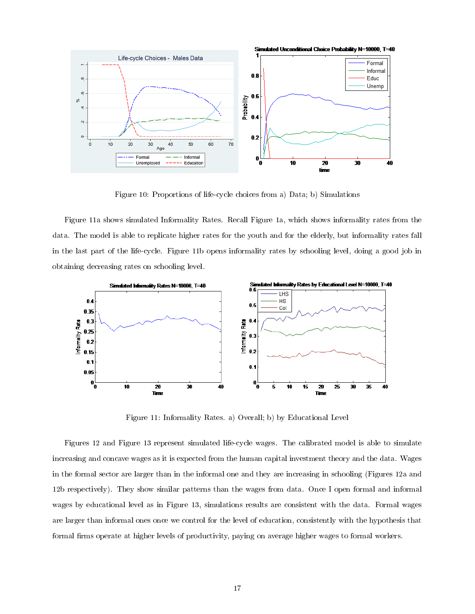

Figure 10: Proportions of life-cycle choices from a) Data; b) Simulations

Figure 11a shows simulated Informality Rates. Recall Figure 1a, which shows informality rates from the data. The model is able to replicate higher rates for the youth and for the elderly, but informality rates fall in the last part of the life-cycle. Figure 11b opens informality rates by schooling level, doing a good job in obtaining decreasing rates on schooling level.



Figure 11: Informality Rates. a) Overall; b) by Educational Level

Figures 12 and Figure 13 represent simulated life-cycle wages. The calibrated model is able to simulate increasing and concave wages as it is expected from the human capital investment theory and the data. Wages in the formal sector are larger than in the informal one and they are increasing in schooling (Figures 12a and 12b respectively). They show similar patterns than the wages from data. Once I open formal and informal wages by educational level as in Figure 13, simulations results are consistent with the data. Formal wages are larger than informal ones once we control for the level of education, consistently with the hypothesis that formal firms operate at higher levels of productivity, paying on average higher wages to formal workers.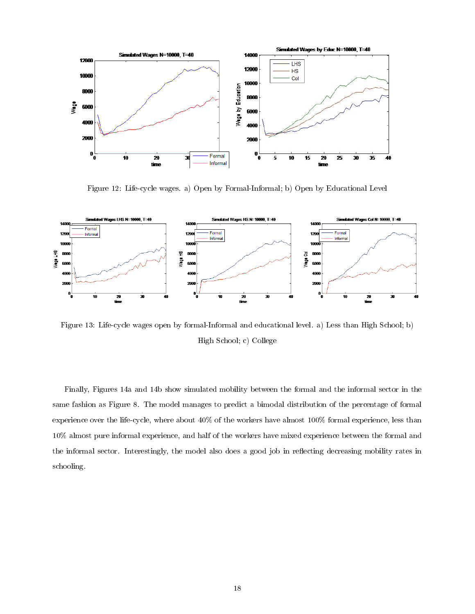

Figure 12: Life-cycle wages. a) Open by Formal-Informal; b) Open by Educational Level



Figure 13: Life-cycle wages open by formal-Informal and educational level. a) Less than High School; b) High School; c) College

Finally, Figures 14a and 14b show simulated mobility between the formal and the informal sector in the same fashion as Figure 8. The model manages to predict a bimodal distribution of the percentage of formal experience over the life-cycle, where about 40% of the workers have almost 100% formal experience, less than 10% almost pure informal experience, and half of the workers have mixed experience between the formal and the informal sector. Interestingly, the model also does a good job in reflecting decreasing mobility rates in schooling.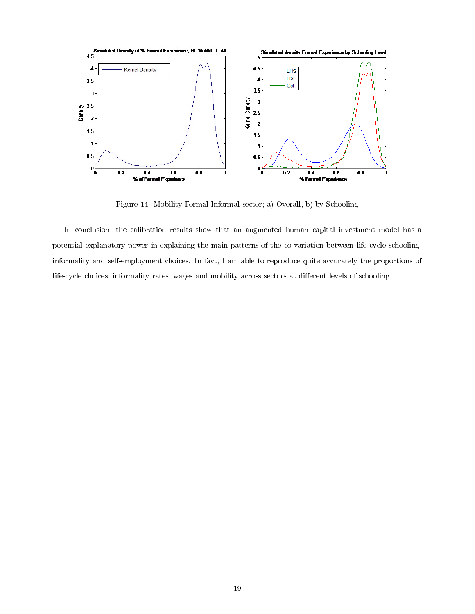

Figure 14: Mobility Formal-Informal sector; a) Overall, b) by Schooling

In conclusion, the calibration results show that an augmented human capital investment model has a potential explanatory power in explaining the main patterns of the co-variation between life-cycle schooling, informality and self-employment choices. In fact, I am able to reproduce quite accurately the proportions of life-cycle choices, informality rates, wages and mobility across sectors at different levels of schooling.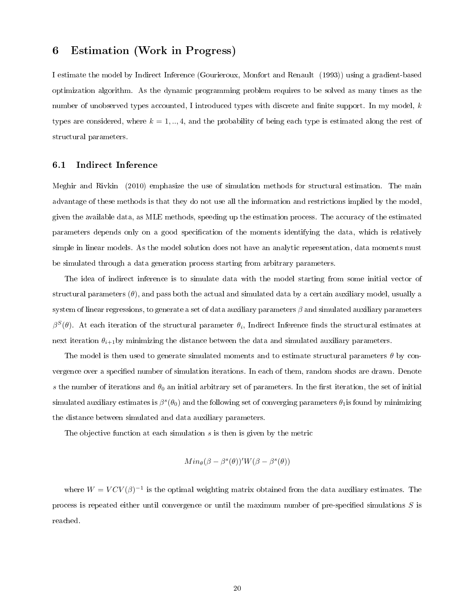# 6 Estimation (Work in Progress)

I estimate the model by Indirect Inference (Gourieroux, Monfort and Renault (1993)) using a gradient-based optimization algorithm. As the dynamic programming problem requires to be solved as many times as the number of unobserved types accounted, I introduced types with discrete and finite support. In my model,  $k$ types are considered, where  $k = 1, ..., 4$ , and the probability of being each type is estimated along the rest of structural parameters.

#### 6.1 Indirect Inference

Meghir and Rivkin (2010) emphasize the use of simulation methods for structural estimation. The main advantage of these methods is that they do not use all the information and restrictions implied by the model, given the available data, as MLE methods, speeding up the estimation process. The accuracy of the estimated parameters depends only on a good specification of the moments identifying the data, which is relatively simple in linear models. As the model solution does not have an analytic representation, data moments must be simulated through a data generation process starting from arbitrary parameters.

The idea of indirect inference is to simulate data with the model starting from some initial vector of structural parameters  $(\theta)$ , and pass both the actual and simulated data by a certain auxiliary model, usually a system of linear regressions, to generate a set of data auxiliary parameters  $\beta$  and simulated auxiliary parameters  $β<sup>S</sup>(θ)$ . At each iteration of the structural parameter  $θ<sub>i</sub>$ , Indirect Inference finds the structural estimates at next iteration  $\theta_{i+1}$ by minimizing the distance between the data and simulated auxiliary parameters.

The model is then used to generate simulated moments and to estimate structural parameters  $\theta$  by convergence over a specified number of simulation iterations. In each of them, random shocks are drawn. Denote s the number of iterations and  $\theta_0$  an initial arbitrary set of parameters. In the first iteration, the set of initial simulated auxiliary estimates is  $\beta^s(\theta_0)$  and the following set of converging parameters  $\theta_1$ is found by minimizing the distance between simulated and data auxiliary parameters.

The objective function at each simulation  $s$  is then is given by the metric

$$
Min_{\theta}(\beta - \beta^{s}(\theta))'W(\beta - \beta^{s}(\theta))
$$

where  $W = VCV(\beta)^{-1}$  is the optimal weighting matrix obtained from the data auxiliary estimates. The process is repeated either until convergence or until the maximum number of pre-specified simulations  $S$  is reached.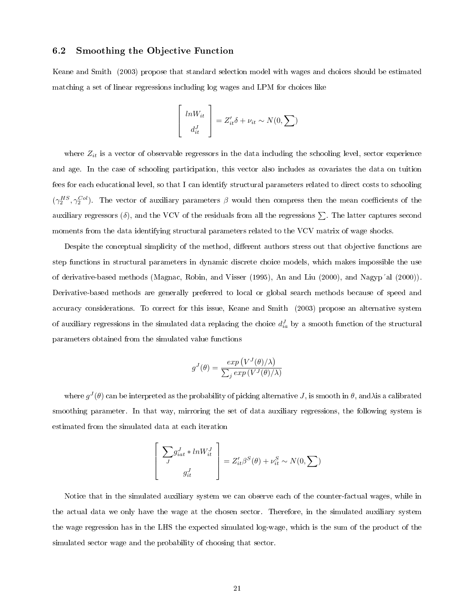## 6.2 Smoothing the Objective Function

Keane and Smith (2003) propose that standard selection model with wages and choices should be estimated matching a set of linear regressions including log wages and LPM for choices like

$$
\begin{bmatrix} lnW_{it} \\ d_{it}^J \end{bmatrix} = Z'_{it}\delta + \nu_{it} \sim N(0, \sum)
$$

where  $Z_{it}$  is a vector of observable regressors in the data including the schooling level, sector experience and age. In the case of schooling participation, this vector also includes as covariates the data on tuition fees for each educational level, so that I can identify structural parameters related to direct costs to schooling  $(\gamma_2^{HS}, \gamma_2^{Col})$ . The vector of auxiliary parameters  $\beta$  would then compress then the mean coefficients of the auxiliary regressors ( $\delta$ ), and the VCV of the residuals from all the regressions  $\Sigma$ . The latter captures second moments from the data identifying structural parameters related to the VCV matrix of wage shocks.

Despite the conceptual simplicity of the method, different authors stress out that objective functions are step functions in structural parameters in dynamic discrete choice models, which makes impossible the use of derivative-based methods (Magnac, Robin, and Visser (1995), An and Liu (2000), and Nagyp´al (2000)). Derivative-based methods are generally preferred to local or global search methods because of speed and accuracy considerations. To correct for this issue, Keane and Smith (2003) propose an alternative system of auxiliary regressions in the simulated data replacing the choice  $d_{ia}^J$  by a smooth function of the structural parameters obtained from the simulated value functions

$$
g^{J}(\theta) = \frac{\exp(V^{J}(\theta)/\lambda)}{\sum_{j} \exp(V^{J}(\theta)/\lambda)}
$$

where  $g^J(\theta)$  can be interpreted as the probability of picking alternative  $J,$  is smooth in  $\theta,$  and $\lambda$ is a calibrated smoothing parameter. In that way, mirroring the set of data auxiliary regressions, the following system is estimated from the simulated data at each iteration

$$
\left[\begin{array}{c} \sum_{J} g_{iat}^{J} * ln W_{it}^{J} \\ g_{it}^{J} \end{array}\right] = Z_{it}'\beta^{S}(\theta) + \nu_{it}^{S} \sim N(0, \sum)
$$

Notice that in the simulated auxiliary system we can observe each of the counter-factual wages, while in the actual data we only have the wage at the chosen sector. Therefore, in the simulated auxiliary system the wage regression has in the LHS the expected simulated log-wage, which is the sum of the product of the simulated sector wage and the probability of choosing that sector.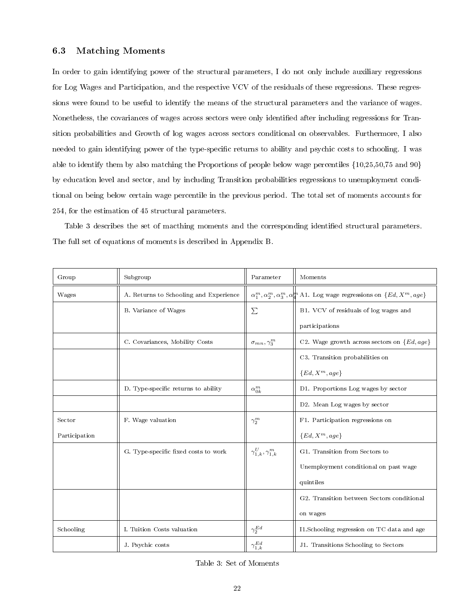### 6.3 Matching Moments

In order to gain identifying power of the structural parameters, I do not only include auxiliary regressions for Log Wages and Participation, and the respective VCV of the residuals of these regressions. These regressions were found to be useful to identify the means of the structural parameters and the variance of wages. Nonetheless, the covariances of wages across sectors were only identied after including regressions for Transition probabilities and Growth of log wages across sectors conditional on observables. Furthermore, I also needed to gain identifying power of the type-specific returns to ability and psychic costs to schooling. I was able to identify them by also matching the Proportions of people below wage percentiles {10,25,50,75 and 90} by education level and sector, and by including Transition probabilities regressions to unemployment conditional on being below certain wage percentile in the previous period. The total set of moments accounts for 254, for the estimation of 45 structural parameters.

Table 3 describes the set of macthing moments and the corresponding identified structural parameters. The full set of equations of moments is described in Appendix B.

| Group         | Subgroup                               | Parameter                        | Moments                                                                                                      |
|---------------|----------------------------------------|----------------------------------|--------------------------------------------------------------------------------------------------------------|
| Wages         | A. Returns to Schooling and Experience |                                  | $\alpha_1^m, \alpha_2^m, \alpha_3^m, \alpha_4^{\sharp\sharp}$ A1. Log wage regressions on $\{Ed, X^m, age\}$ |
|               | B. Variance of Wages                   | $\sum$                           | B1. VCV of residuals of log wages and                                                                        |
|               |                                        |                                  | participations                                                                                               |
|               | C. Covariances, Mobility Costs         | $\sigma_{mn}, \gamma_3^m$        | C2. Wage growth across sectors on $\{Ed, age\}$                                                              |
|               |                                        |                                  | C3. Transition probabilities on                                                                              |
|               |                                        |                                  | ${Ed, X^m, age}$                                                                                             |
|               | D. Type-specific returns to ability    | $\alpha_{0k}^m$                  | D1. Proportions Log wages by sector                                                                          |
|               |                                        |                                  | D2. Mean Log wages by sector                                                                                 |
| Sector        | F. Wage valuation                      | $\gamma_2^m$                     | F1. Participation regressions on                                                                             |
| Participation |                                        |                                  | ${Ed, X^m, age}$                                                                                             |
|               | G. Type-specific fixed costs to work   | $\gamma_{1,k}^U, \gamma_{1,k}^m$ | G1. Transition from Sectors to                                                                               |
|               |                                        |                                  | Unemployment conditional on past wage                                                                        |
|               |                                        |                                  | quintiles                                                                                                    |
|               |                                        |                                  | G2. Transition between Sectors conditional                                                                   |
|               |                                        |                                  | on wages                                                                                                     |
| Schooling     | I. Tuition Costs valuation             | $\gamma_2^{Ed}$                  | Il Schooling regression on TC data and age                                                                   |
|               | J. Psychic costs                       | $\gamma^{Ed}_{1,k}$              | J1. Transitions Schooling to Sectors                                                                         |

Table 3: Set of Moments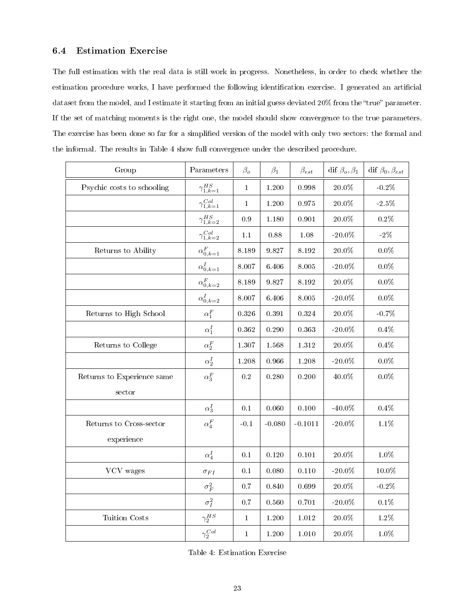## 6.4 Estimation Exercise

The full estimation with the real data is still work in progress. Nonetheless, in order to check whether the estimation procedure works, I have performed the following identification exercise. I generated an artificial dataset from the model, and I estimate it starting from an initial guess deviated  $20\%$  from the "true" parameter. If the set of matching moments is the right one, the model should show convergence to the true parameters. The exercise has been done so far for a simplified version of the model with only two sectors: the formal and the informal. The results in Table 4 show full convergence under the described procedure.

| Group                      | Parameters             | $\beta_{o}$  | $\beta_1$ | $\beta_{est}$ | dif $\beta_o, \beta_1$ | dif $\beta_0, \beta_{est}$ |
|----------------------------|------------------------|--------------|-----------|---------------|------------------------|----------------------------|
| Psychic costs to schooling | $\gamma_{1,k=1}^{HS}$  | $\mathbf 1$  | 1.200     | 0.998         | $20.0\%$               | $-0.2\%$                   |
|                            | $\gamma^{Col}_{1,k=1}$ | $\mathbf{1}$ | 1.200     | 0.975         | $20.0\%$               | $-2.5\%$                   |
|                            | $\gamma^{HS}_{1,k=2}$  | 0.9          | 1.180     | 0.901         | 20.0%                  | $0.2\%$                    |
|                            | $\gamma^{Col}_{1,k=2}$ | $1.1\,$      | 0.88      | 1.08          | $-20.0\%$              | $-2\%$                     |
| Returns to Ability         | $\alpha_{0,k=1}^F$     | $8.189\,$    | 9.827     | 8.192         | $20.0\%$               | $0.0\%$                    |
|                            | $\alpha_{0,k=1}^I$     | 8.007        | 6.406     | 8.005         | $-20.0\%$              | $0.0\%$                    |
|                            | $\alpha_{0,k=2}^F$     | 8.189        | 9.827     | 8.192         | $20.0\%$               | $0.0\%$                    |
|                            | $\alpha_{0,k=2}^{I}$   | 8.007        | 6.406     | 8.005         | $-20.0\%$              | $0.0\%$                    |
| Returns to High School     | $\alpha_1^F$           | 0.326        | 0.391     | 0.324         | 20.0%                  | $-0.7%$                    |
|                            | $\alpha_1^I$           | 0.362        | 0.290     | 0.363         | $-20.0\%$              | $0.4\%$                    |
| Returns to College         | $\alpha_2^F$           | 1.307        | 1.568     | 1.312         | $20.0\%$               | $0.4\%$                    |
|                            | $\alpha_2^I$           | 1.208        | 0.966     | 1.208         | $-20.0\%$              | $0.0\%$                    |
| Returns to Experience same | $\alpha_3^F$           | $0.2\,$      | 0.280     | 0.200         | 40.0%                  | $0.0\%$                    |
| sector                     |                        |              |           |               |                        |                            |
|                            | $\alpha_3^I$           | 0.1          | 0.060     | 0.100         | $-40.0\%$              | $0.4\%$                    |
| Returns to Cross-sector    | $\alpha_4^F$           | $-0.1$       | $-0.080$  | $-0.1011$     | $-20.0\%$              | $1.1\%$                    |
| experience                 |                        |              |           |               |                        |                            |
|                            | $\alpha_4^I$           | 0.1          | 0.120     | 0.101         | $20.0\%$               | $1.0\%$                    |
| VCV wages                  | $\sigma_{FI}$          | 0.1          | 0.080     | 0.110         | $-20.0\%$              | 10.0%                      |
|                            | $\sigma_F^2$           | 0.7          | 0.840     | 0.699         | 20.0%                  | $-0.2\%$                   |
|                            | $\sigma_I^2$           | 0.7          | 0.560     | 0.701         | $-20.0\%$              | $0.1\%$                    |
| Tuition Costs              | $\gamma_2^{HS}$        | $\mathbf 1$  | 1.200     | 1.012         | 20.0%                  | $1.2\%$                    |
|                            | $\gamma_2^{Col}$       | $\mathbf 1$  | 1.200     | 1.010         | $20.0\%$               | $1.0\%$                    |

Table 4: Estimation Exercise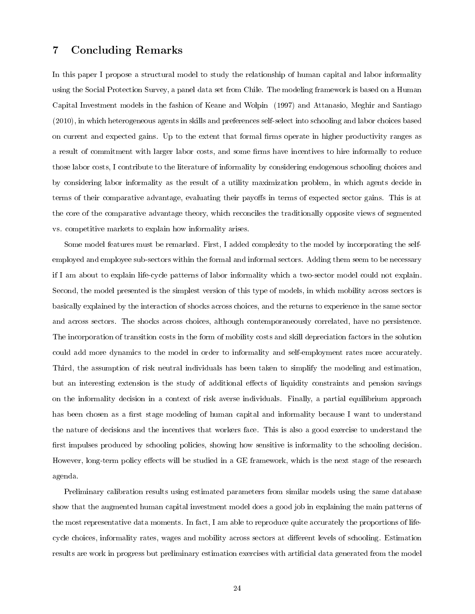# 7 Concluding Remarks

In this paper I propose a structural model to study the relationship of human capital and labor informality using the Social Protection Survey, a panel data set from Chile. The modeling framework is based on a Human Capital Investment models in the fashion of Keane and Wolpin (1997) and Attanasio, Meghir and Santiago (2010), in which heterogeneous agents in skills and preferences self-select into schooling and labor choices based on current and expected gains. Up to the extent that formal firms operate in higher productivity ranges as a result of commitment with larger labor costs, and some firms have incentives to hire informally to reduce those labor costs, I contribute to the literature of informality by considering endogenous schooling choices and by considering labor informality as the result of a utility maximization problem, in which agents decide in terms of their comparative advantage, evaluating their payoffs in terms of expected sector gains. This is at the core of the comparative advantage theory, which reconciles the traditionally opposite views of segmented vs. competitive markets to explain how informality arises.

Some model features must be remarked. First, I added complexity to the model by incorporating the selfemployed and employee sub-sectors within the formal and informal sectors. Adding them seem to be necessary if I am about to explain life-cycle patterns of labor informality which a two-sector model could not explain. Second, the model presented is the simplest version of this type of models, in which mobility across sectors is basically explained by the interaction of shocks across choices, and the returns to experience in the same sector and across sectors. The shocks across choices, although contemporaneously correlated, have no persistence. The incorporation of transition costs in the form of mobility costs and skill depreciation factors in the solution could add more dynamics to the model in order to informality and self-employment rates more accurately. Third, the assumption of risk neutral individuals has been taken to simplify the modeling and estimation, but an interesting extension is the study of additional effects of liquidity constraints and pension savings on the informality decision in a context of risk averse individuals. Finally, a partial equilibrium approach has been chosen as a first stage modeling of human capital and informality because I want to understand the nature of decisions and the incentives that workers face. This is also a good exercise to understand the first impulses produced by schooling policies, showing how sensitive is informality to the schooling decision. However, long-term policy effects will be studied in a GE framework, which is the next stage of the research agenda.

Preliminary calibration results using estimated parameters from similar models using the same database show that the augmented human capital investment model does a good job in explaining the main patterns of the most representative data moments. In fact, I am able to reproduce quite accurately the proportions of lifecycle choices, informality rates, wages and mobility across sectors at different levels of schooling. Estimation results are work in progress but preliminary estimation exercises with artificial data generated from the model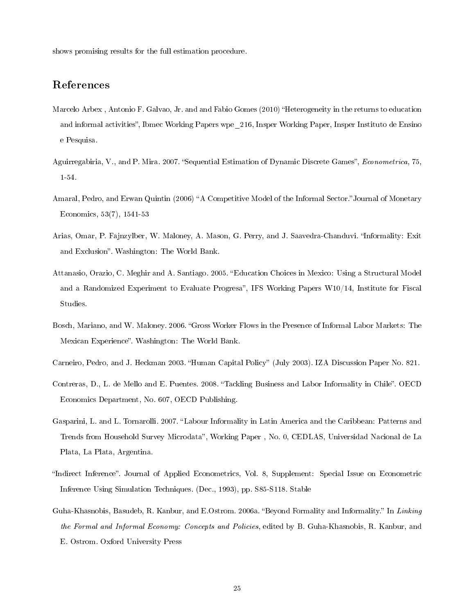shows promising results for the full estimation procedure.

# References

- Marcelo Arbex, Antonio F. Galvao, Jr. and and Fabio Gomes (2010) "Heterogeneity in the returns to education and informal activities", Ibmec Working Papers wpe 216, Insper Working Paper, Insper Instituto de Ensino e Pesquisa.
- Aguirregabiria, V., and P. Mira. 2007. "Sequential Estimation of Dynamic Discrete Games", Econometrica, 75, 1-54.
- Amaral, Pedro, and Erwan Quintin (2006) "A Competitive Model of the Informal Sector." Journal of Monetary Economics, 53(7), 1541-53
- Arias, Omar, P. Fajnzylber, W. Maloney, A. Mason, G. Perry, and J. Saavedra-Chanduvi. Informality: Exit and Exclusion". Washington: The World Bank.
- Attanasio, Orazio, C. Meghir and A. Santiago. 2005. Education Choices in Mexico: Using a Structural Model and a Randomized Experiment to Evaluate Progresa", IFS Working Papers  $W10/14$ , Institute for Fiscal Studies.
- Bosch, Mariano, and W. Maloney. 2006. "Gross Worker Flows in the Presence of Informal Labor Markets: The Mexican Experience". Washington: The World Bank.
- Carneiro, Pedro, and J. Heckman 2003. "Human Capital Policy" (July 2003). IZA Discussion Paper No. 821.
- Contreras, D., L. de Mello and E. Puentes. 2008. "Tackling Business and Labor Informality in Chile". OECD Economics Department, No. 607, OECD Publishing.
- Gasparini, L. and L. Tornarolli. 2007. "Labour Informality in Latin America and the Caribbean: Patterns and Trends from Household Survey Microdata", Working Paper, No. 0, CEDLAS, Universidad Nacional de La Plata, La Plata, Argentina.
- "Indirect Inference". Journal of Applied Econometrics, Vol. 8, Supplement: Special Issue on Econometric Inference Using Simulation Techniques. (Dec., 1993), pp. S85-S118. Stable
- Guha-Khasnobis, Basudeb, R. Kanbur, and E.Ostrom. 2006a. "Beyond Formality and Informality." In Linking the Formal and Informal Economy: Concepts and Policies, edited by B. Guha-Khasnobis, R. Kanbur, and E. Ostrom. Oxford University Press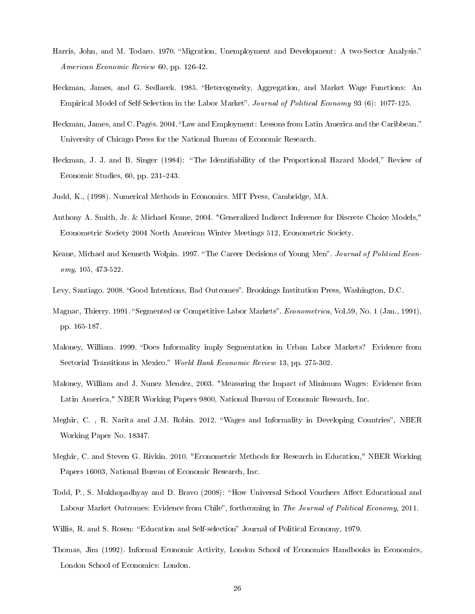- Harris, John, and M. Todaro. 1970. "Migration, Unemployment and Development: A two-Sector Analysis." American Economic Review 60, pp. 126-42.
- Heckman, James, and G. Sedlacek. 1985. "Heterogeneity, Aggregation, and Market Wage Functions: An Empirical Model of Self-Selection in the Labor Market". Journal of Political Economy 93 (6): 1077-125.
- Heckman, James, and C. Pagés. 2004. "Law and Employment: Lessons from Latin America and the Caribbean." University of Chicago Press for the National Bureau of Economic Research.
- Heckman, J. J. and B. Singer (1984): "The Identifiability of the Proportional Hazard Model," Review of Economic Studies,  $60$ , pp.  $231-243$ .
- Judd, K., (1998). Numerical Methods in Economics. MIT Press, Cambridge, MA.
- Anthony A. Smith, Jr. & Michael Keane, 2004. "Generalized Indirect Inference for Discrete Choice Models," Econometric Society 2004 North American Winter Meetings 512, Econometric Society.
- Keane, Michael and Kenneth Wolpin. 1997. "The Career Decisions of Young Men". Journal of Political Economy, 105, 473-522.
- Levy, Santiago. 2008. "Good Intentions, Bad Outcomes". Brookings Institution Press, Washington, D.C.
- Magnac, Thierry. 1991. "Segmented or Competitive Labor Markets". Econometrica, Vol.59, No. 1 (Jan., 1991), pp. 165-187.
- Maloney, William. 1999. "Does Informality imply Segmentation in Urban Labor Markets? Evidence from Sectorial Transitions in Mexico." World Bank Economic Review 13, pp. 275-302.
- Maloney, William and J. Nunez Mendez, 2003. "Measuring the Impact of Minimum Wages: Evidence from Latin America," NBER Working Papers 9800, National Bureau of Economic Research, Inc.
- Meghir, C., R. Narita and J.M. Robin. 2012. "Wages and Informality in Developing Countries", NBER Working Paper No. 18347.
- Meghir, C. and Steven G. Rivkin. 2010. "Econometric Methods for Research in Education," NBER Working Papers 16003, National Bureau of Economic Research, Inc.
- Todd, P., S. Mukhopadhyay and D. Bravo (2008): "How Universal School Vouchers Affect Educational and Labour Market Outcomes: Evidence from Chile", forthcoming in The Journal of Political Economy, 2011.
- Willis, R. and S. Rosen: "Education and Self-selection" Journal of Political Economy, 1979.
- Thomas, Jim (1992). Informal Economic Activity, London School of Economics Handbooks in Economics, London School of Economics: London.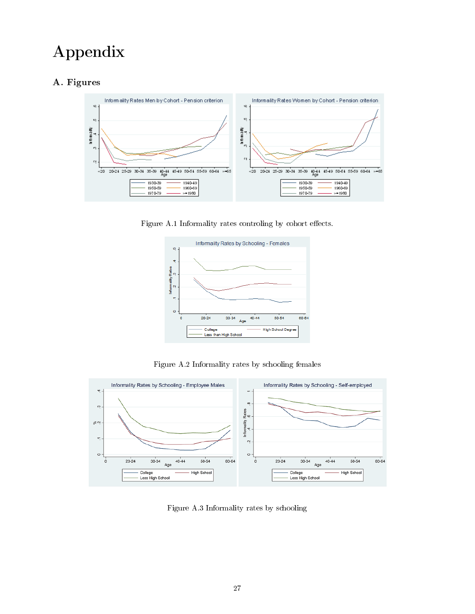# Appendix

# A. Figures



Figure A.1 Informality rates controling by cohort effects.



Figure A.2 Informality rates by schooling females



Figure A.3 Informality rates by schooling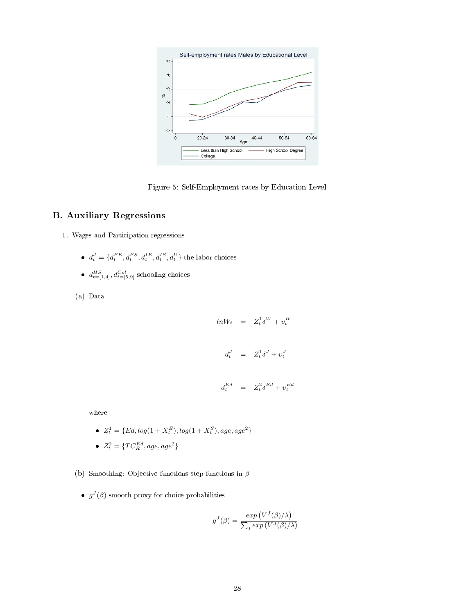

Figure 5: Self-Employment rates by Education Level

# B. Auxiliary Regressions

- 1. Wages and Participation regressions
	- $d_t^J = \{d_t^{FE}, d_t^{FS}, d_t^{IE}, d_t^{IS}, d_t^U\}$  the labor choices
	- $d_{t=[1,4]}^{HS}, d_{t=[5,9]}^{Col}$  schooling choices
	- (a) Data

$$
ln W_t = Z_t^1 \delta^W + v_t^W
$$

$$
d_t^J = Z_t^1 \delta^J + v_t^J
$$

$$
d_t^{Ed} = Z_t^2 \delta^{Ed} + v_t^{Ed}
$$

where

- $Z_t^1 = \{Ed, log(1 + X_t^E), log(1 + X_t^S), age, age^2\}$
- $Z_t^2 = \{TC_R^{Ed}, age, age^2\}$
- (b) Smoothing: Objective functions step functions in  $\beta$ 
	- $\bullet$   $g^{J}(\beta)$  smooth proxy for choice probabilities

$$
g^{J}(\beta) = \frac{\exp(V^{J}(\beta)/\lambda)}{\sum_{j} \exp(V^{J}(\beta)/\lambda)}
$$